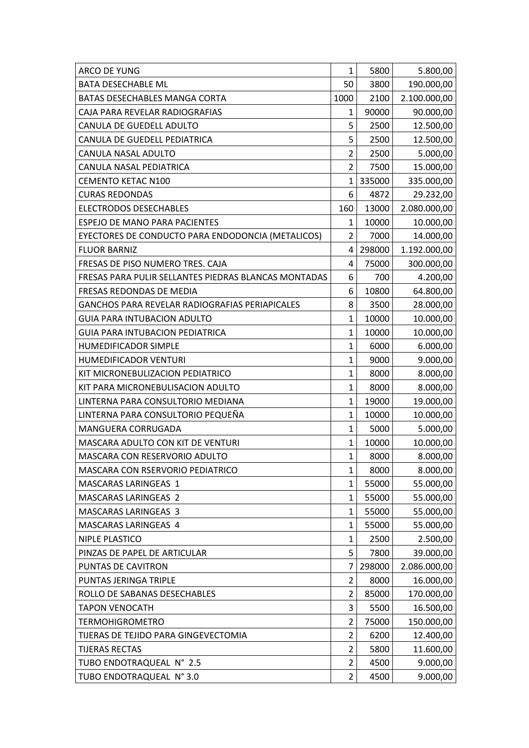| <b>ARCO DE YUNG</b>                                   | 1              | 5800   | 5.800,00     |
|-------------------------------------------------------|----------------|--------|--------------|
| <b>BATA DESECHABLE ML</b>                             | 50             | 3800   | 190.000,00   |
| BATAS DESECHABLES MANGA CORTA                         | 1000           | 2100   | 2.100.000,00 |
| CAJA PARA REVELAR RADIOGRAFIAS                        | 1              | 90000  | 90.000,00    |
| CANULA DE GUEDELL ADULTO                              | 5              | 2500   | 12.500,00    |
| CANULA DE GUEDELL PEDIATRICA                          | 5              | 2500   | 12.500,00    |
| CANULA NASAL ADULTO                                   | $\overline{2}$ | 2500   | 5.000,00     |
| CANULA NASAL PEDIATRICA                               | $\overline{2}$ | 7500   | 15.000,00    |
| <b>CEMENTO KETAC N100</b>                             | 1              | 335000 | 335.000,00   |
| <b>CURAS REDONDAS</b>                                 | 6              | 4872   | 29.232,00    |
| <b>ELECTRODOS DESECHABLES</b>                         | 160            | 13000  | 2.080.000,00 |
| ESPEJO DE MANO PARA PACIENTES                         | 1              | 10000  | 10.000,00    |
| EYECTORES DE CONDUCTO PARA ENDODONCIA (METALICOS)     | 2              | 7000   | 14.000,00    |
| <b>FLUOR BARNIZ</b>                                   | 4              | 298000 | 1.192.000,00 |
| FRESAS DE PISO NUMERO TRES. CAJA                      | 4              | 75000  | 300.000,00   |
| FRESAS PARA PULIR SELLANTES PIEDRAS BLANCAS MONTADAS  | 6              | 700    | 4.200,00     |
| FRESAS REDONDAS DE MEDIA                              | 6              | 10800  | 64.800,00    |
| <b>GANCHOS PARA REVELAR RADIOGRAFIAS PERIAPICALES</b> | 8              | 3500   | 28.000,00    |
| <b>GUIA PARA INTUBACION ADULTO</b>                    | $\mathbf{1}$   | 10000  | 10.000,00    |
| <b>GUIA PARA INTUBACION PEDIATRICA</b>                | $\mathbf{1}$   | 10000  | 10.000,00    |
| HUMEDIFICADOR SIMPLE                                  | 1              | 6000   | 6.000,00     |
| HUMEDIFICADOR VENTURI                                 | $\mathbf{1}$   | 9000   | 9.000,00     |
| KIT MICRONEBULIZACION PEDIATRICO                      | 1              | 8000   | 8.000,00     |
| KIT PARA MICRONEBULISACION ADULTO                     | $\mathbf{1}$   | 8000   | 8.000,00     |
| LINTERNA PARA CONSULTORIO MEDIANA                     | $\mathbf{1}$   | 19000  | 19.000,00    |
| LINTERNA PARA CONSULTORIO PEQUEÑA                     | 1              | 10000  | 10.000,00    |
| MANGUERA CORRUGADA                                    | $\mathbf{1}$   | 5000   | 5.000,00     |
| <b>MASCARA ADULTO CON KIT DE VENTURI</b>              | 1              | 10000  | 10.000,00    |
| MASCARA CON RESERVORIO ADULTO                         | $\mathbf{1}$   | 8000   | 8.000,00     |
| MASCARA CON RSERVORIO PEDIATRICO                      | $\mathbf{1}$   | 8000   | 8.000,00     |
| MASCARAS LARINGEAS 1                                  | $\mathbf 1$    | 55000  | 55.000,00    |
| <b>MASCARAS LARINGEAS 2</b>                           | $\mathbf{1}$   | 55000  | 55.000,00    |
| <b>MASCARAS LARINGEAS 3</b>                           | 1              | 55000  | 55.000,00    |
| MASCARAS LARINGEAS 4                                  | $\mathbf{1}$   | 55000  | 55.000,00    |
| NIPLE PLASTICO                                        | 1              | 2500   | 2.500,00     |
| PINZAS DE PAPEL DE ARTICULAR                          | 5              | 7800   | 39.000,00    |
| PUNTAS DE CAVITRON                                    | 7              | 298000 | 2.086.000,00 |
| PUNTAS JERINGA TRIPLE                                 | $\overline{2}$ | 8000   | 16.000,00    |
| ROLLO DE SABANAS DESECHABLES                          | $\overline{2}$ | 85000  | 170.000,00   |
| <b>TAPON VENOCATH</b>                                 | 3              | 5500   | 16.500,00    |
| <b>TERMOHIGROMETRO</b>                                | $\overline{2}$ | 75000  | 150.000,00   |
| TIJERAS DE TEJIDO PARA GINGEVECTOMIA                  | $\overline{2}$ | 6200   | 12.400,00    |
| <b>TIJERAS RECTAS</b>                                 | $\overline{2}$ | 5800   | 11.600,00    |
| TUBO ENDOTRAQUEAL N° 2.5                              | $\overline{2}$ | 4500   | 9.000,00     |
| TUBO ENDOTRAQUEAL N° 3.0                              | $\overline{2}$ | 4500   | 9.000,00     |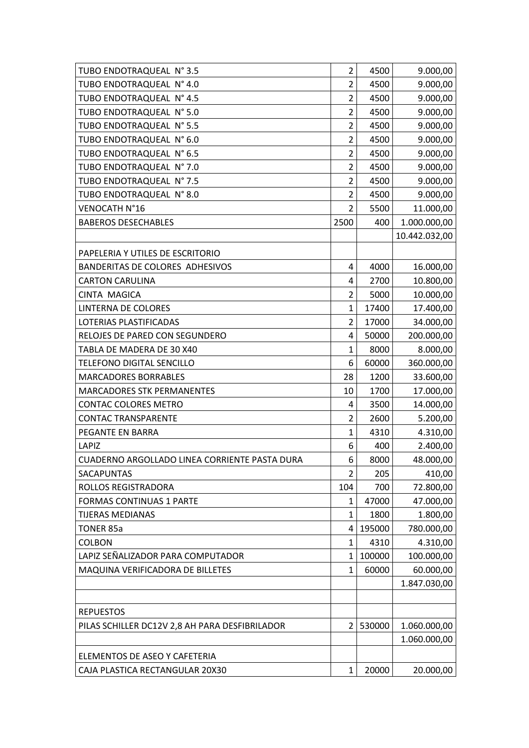| TUBO ENDOTRAQUEAL N° 4.0<br>$\overline{2}$<br>9.000,00<br>4500<br>$\overline{2}$<br>TUBO ENDOTRAQUEAL N° 4.5<br>4500<br>9.000,00<br>$\overline{2}$<br>TUBO ENDOTRAQUEAL N° 5.0<br>4500<br>9.000,00<br>$\overline{2}$<br>TUBO ENDOTRAQUEAL N° 5.5<br>4500<br>9.000,00<br>TUBO ENDOTRAQUEAL N° 6.0<br>2<br>9.000,00<br>4500<br>$\overline{2}$<br>TUBO ENDOTRAQUEAL N° 6.5<br>4500<br>9.000,00<br>TUBO ENDOTRAQUEAL N° 7.0<br>$\overline{2}$<br>9.000,00<br>4500<br>$\overline{2}$<br>TUBO ENDOTRAQUEAL N° 7.5<br>4500<br>9.000,00<br>$\overline{2}$<br>TUBO ENDOTRAQUEAL N° 8.0<br>4500<br>9.000,00 |
|---------------------------------------------------------------------------------------------------------------------------------------------------------------------------------------------------------------------------------------------------------------------------------------------------------------------------------------------------------------------------------------------------------------------------------------------------------------------------------------------------------------------------------------------------------------------------------------------------|
|                                                                                                                                                                                                                                                                                                                                                                                                                                                                                                                                                                                                   |
|                                                                                                                                                                                                                                                                                                                                                                                                                                                                                                                                                                                                   |
|                                                                                                                                                                                                                                                                                                                                                                                                                                                                                                                                                                                                   |
|                                                                                                                                                                                                                                                                                                                                                                                                                                                                                                                                                                                                   |
|                                                                                                                                                                                                                                                                                                                                                                                                                                                                                                                                                                                                   |
|                                                                                                                                                                                                                                                                                                                                                                                                                                                                                                                                                                                                   |
|                                                                                                                                                                                                                                                                                                                                                                                                                                                                                                                                                                                                   |
|                                                                                                                                                                                                                                                                                                                                                                                                                                                                                                                                                                                                   |
|                                                                                                                                                                                                                                                                                                                                                                                                                                                                                                                                                                                                   |
| 11.000,00<br>VENOCATH N°16<br>2<br>5500                                                                                                                                                                                                                                                                                                                                                                                                                                                                                                                                                           |
| 2500<br>1.000.000,00<br><b>BABEROS DESECHABLES</b><br>400                                                                                                                                                                                                                                                                                                                                                                                                                                                                                                                                         |
| 10.442.032,00                                                                                                                                                                                                                                                                                                                                                                                                                                                                                                                                                                                     |
| PAPELERIA Y UTILES DE ESCRITORIO                                                                                                                                                                                                                                                                                                                                                                                                                                                                                                                                                                  |
| 4000<br><b>BANDERITAS DE COLORES ADHESIVOS</b><br>16.000,00<br>4                                                                                                                                                                                                                                                                                                                                                                                                                                                                                                                                  |
| <b>CARTON CARULINA</b><br>2700<br>10.800,00<br>4                                                                                                                                                                                                                                                                                                                                                                                                                                                                                                                                                  |
| $\overline{2}$<br>10.000,00<br><b>CINTA MAGICA</b><br>5000                                                                                                                                                                                                                                                                                                                                                                                                                                                                                                                                        |
| $\mathbf{1}$<br>17.400,00<br>LINTERNA DE COLORES<br>17400                                                                                                                                                                                                                                                                                                                                                                                                                                                                                                                                         |
| $\overline{2}$<br>LOTERIAS PLASTIFICADAS<br>17000<br>34.000,00                                                                                                                                                                                                                                                                                                                                                                                                                                                                                                                                    |
| 200.000,00<br>RELOJES DE PARED CON SEGUNDERO<br>4<br>50000                                                                                                                                                                                                                                                                                                                                                                                                                                                                                                                                        |
| 8.000,00<br>TABLA DE MADERA DE 30 X40<br>$\mathbf{1}$<br>8000                                                                                                                                                                                                                                                                                                                                                                                                                                                                                                                                     |
| 6<br>360.000,00<br>TELEFONO DIGITAL SENCILLO<br>60000                                                                                                                                                                                                                                                                                                                                                                                                                                                                                                                                             |
| <b>MARCADORES BORRABLES</b><br>28<br>33.600,00<br>1200                                                                                                                                                                                                                                                                                                                                                                                                                                                                                                                                            |
| 17.000,00<br><b>MARCADORES STK PERMANENTES</b><br>10<br>1700                                                                                                                                                                                                                                                                                                                                                                                                                                                                                                                                      |
| <b>CONTAC COLORES METRO</b><br>3500<br>14.000,00<br>4                                                                                                                                                                                                                                                                                                                                                                                                                                                                                                                                             |
| $\overline{2}$<br>2600<br><b>CONTAC TRANSPARENTE</b><br>5.200,00                                                                                                                                                                                                                                                                                                                                                                                                                                                                                                                                  |
| $\mathbf{1}$<br>PEGANTE EN BARRA<br>4310<br>4.310,00                                                                                                                                                                                                                                                                                                                                                                                                                                                                                                                                              |
| 6<br>2.400,00<br>LAPIZ<br>400                                                                                                                                                                                                                                                                                                                                                                                                                                                                                                                                                                     |
| 6<br>8000<br>48.000,00<br>CUADERNO ARGOLLADO LINEA CORRIENTE PASTA DURA                                                                                                                                                                                                                                                                                                                                                                                                                                                                                                                           |
| $\overline{2}$<br>205<br>SACAPUNTAS<br>410,00                                                                                                                                                                                                                                                                                                                                                                                                                                                                                                                                                     |
| ROLLOS REGISTRADORA<br>104<br>700<br>72.800,00                                                                                                                                                                                                                                                                                                                                                                                                                                                                                                                                                    |
| 47000<br><b>FORMAS CONTINUAS 1 PARTE</b><br>47.000,00<br>1                                                                                                                                                                                                                                                                                                                                                                                                                                                                                                                                        |
| <b>TIJERAS MEDIANAS</b><br>$\mathbf{1}$<br>1800<br>1.800,00                                                                                                                                                                                                                                                                                                                                                                                                                                                                                                                                       |
| <b>TONER 85a</b><br>195000<br>780.000,00<br>4                                                                                                                                                                                                                                                                                                                                                                                                                                                                                                                                                     |
| <b>COLBON</b><br>1<br>4.310,00<br>4310                                                                                                                                                                                                                                                                                                                                                                                                                                                                                                                                                            |
| LAPIZ SEÑALIZADOR PARA COMPUTADOR<br>100000<br>100.000,00<br>1                                                                                                                                                                                                                                                                                                                                                                                                                                                                                                                                    |
| MAQUINA VERIFICADORA DE BILLETES<br>1<br>60000<br>60.000,00                                                                                                                                                                                                                                                                                                                                                                                                                                                                                                                                       |
| 1.847.030,00                                                                                                                                                                                                                                                                                                                                                                                                                                                                                                                                                                                      |
|                                                                                                                                                                                                                                                                                                                                                                                                                                                                                                                                                                                                   |
| <b>REPUESTOS</b>                                                                                                                                                                                                                                                                                                                                                                                                                                                                                                                                                                                  |
| PILAS SCHILLER DC12V 2,8 AH PARA DESFIBRILADOR<br>530000<br>1.060.000,00<br>2                                                                                                                                                                                                                                                                                                                                                                                                                                                                                                                     |
| 1.060.000,00                                                                                                                                                                                                                                                                                                                                                                                                                                                                                                                                                                                      |
| ELEMENTOS DE ASEO Y CAFETERIA                                                                                                                                                                                                                                                                                                                                                                                                                                                                                                                                                                     |
| CAJA PLASTICA RECTANGULAR 20X30<br>1<br>20000<br>20.000,00                                                                                                                                                                                                                                                                                                                                                                                                                                                                                                                                        |